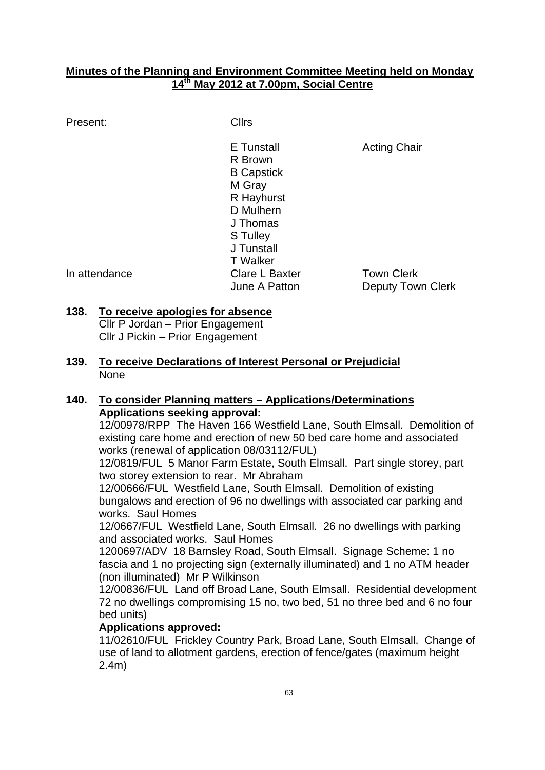### **Minutes of the Planning and Environment Committee Meeting held on Monday 14th May 2012 at 7.00pm, Social Centre**

### Present: Cllrs

E Tunstall **Acting Chair** R Brown B Capstick M Gray R Hayhurst D Mulhern J Thomas S Tulley J Tunstall T Walker In attendance Clare L Baxter Town Clerk

June A Patton **Deputy Town Clerk** 

## **138. To receive apologies for absence**

Cllr P Jordan – Prior Engagement Cllr J Pickin – Prior Engagement

**139. To receive Declarations of Interest Personal or Prejudicial** None

# **140. To consider Planning matters – Applications/Determinations Applications seeking approval:**

12/00978/RPP The Haven 166 Westfield Lane, South Elmsall. Demolition of existing care home and erection of new 50 bed care home and associated works (renewal of application 08/03112/FUL)

12/0819/FUL 5 Manor Farm Estate, South Elmsall. Part single storey, part two storey extension to rear. Mr Abraham

12/00666/FUL Westfield Lane, South Elmsall. Demolition of existing bungalows and erection of 96 no dwellings with associated car parking and works. Saul Homes

12/0667/FUL Westfield Lane, South Elmsall. 26 no dwellings with parking and associated works. Saul Homes

1200697/ADV 18 Barnsley Road, South Elmsall. Signage Scheme: 1 no fascia and 1 no projecting sign (externally illuminated) and 1 no ATM header (non illuminated) Mr P Wilkinson

12/00836/FUL Land off Broad Lane, South Elmsall. Residential development 72 no dwellings compromising 15 no, two bed, 51 no three bed and 6 no four bed units)

# **Applications approved:**

11/02610/FUL Frickley Country Park, Broad Lane, South Elmsall. Change of use of land to allotment gardens, erection of fence/gates (maximum height 2.4m)